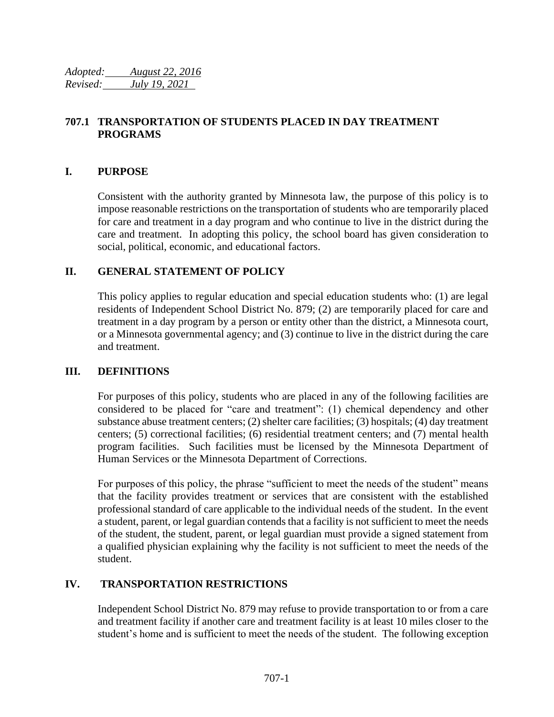*Adopted: August 22, 2016 Revised: July 19, 2021*

# **707.1 TRANSPORTATION OF STUDENTS PLACED IN DAY TREATMENT PROGRAMS**

## **I. PURPOSE**

Consistent with the authority granted by Minnesota law, the purpose of this policy is to impose reasonable restrictions on the transportation of students who are temporarily placed for care and treatment in a day program and who continue to live in the district during the care and treatment. In adopting this policy, the school board has given consideration to social, political, economic, and educational factors.

### **II. GENERAL STATEMENT OF POLICY**

This policy applies to regular education and special education students who: (1) are legal residents of Independent School District No. 879; (2) are temporarily placed for care and treatment in a day program by a person or entity other than the district, a Minnesota court, or a Minnesota governmental agency; and (3) continue to live in the district during the care and treatment.

#### **III. DEFINITIONS**

For purposes of this policy, students who are placed in any of the following facilities are considered to be placed for "care and treatment": (1) chemical dependency and other substance abuse treatment centers; (2) shelter care facilities; (3) hospitals; (4) day treatment centers; (5) correctional facilities; (6) residential treatment centers; and (7) mental health program facilities. Such facilities must be licensed by the Minnesota Department of Human Services or the Minnesota Department of Corrections.

For purposes of this policy, the phrase "sufficient to meet the needs of the student" means that the facility provides treatment or services that are consistent with the established professional standard of care applicable to the individual needs of the student. In the event a student, parent, or legal guardian contends that a facility is not sufficient to meet the needs of the student, the student, parent, or legal guardian must provide a signed statement from a qualified physician explaining why the facility is not sufficient to meet the needs of the student.

#### **IV. TRANSPORTATION RESTRICTIONS**

Independent School District No. 879 may refuse to provide transportation to or from a care and treatment facility if another care and treatment facility is at least 10 miles closer to the student's home and is sufficient to meet the needs of the student. The following exception